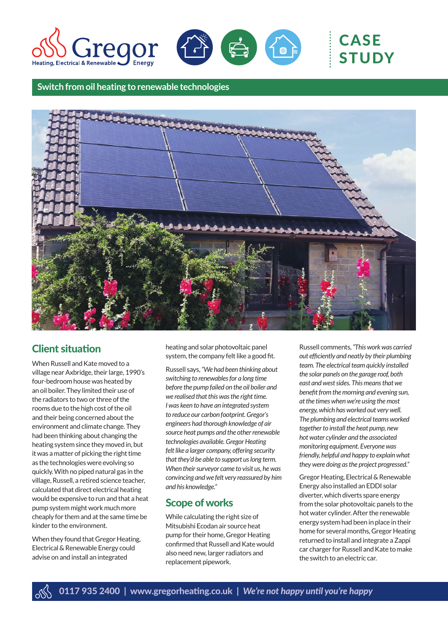



# CASE **STUDY**

**Switch from oil heating to renewable technologies**



## Client situation

When Russell and Kate moved to a village near Axbridge, their large, 1990's four-bedroom house was heated by an oil boiler. They limited their use of the radiators to two or three of the rooms due to the high cost of the oil and their being concerned about the environment and climate change. They had been thinking about changing the heating system since they moved in, but it was a matter of picking the right time as the technologies were evolving so quickly. With no piped natural gas in the village, Russell, a retired science teacher, calculated that direct electrical heating would be expensive to run and that a heat pump system might work much more cheaply for them and at the same time be kinder to the environment.

When they found that Gregor Heating, Electrical & Renewable Energy could advise on and install an integrated

heating and solar photovoltaic panel system, the company felt like a good fit.

Russell says, *"We had been thinking about switching to renewables for a long time before the pump failed on the oil boiler and we realised that this was the right time. I was keen to have an integrated system to reduce our carbon footprint. Gregor's engineers had thorough knowledge of air source heat pumps and the other renewable technologies available. Gregor Heating felt like a larger company, offering security that they'd be able to support us long term. When their surveyor came to visit us, he was convincing and we felt very reassured by him and his knowledge."*

## Scope of works

While calculating the right size of Mitsubishi Ecodan air source heat pump for their home, Gregor Heating confirmed that Russell and Kate would also need new, larger radiators and replacement pipework.

Russell comments, *"This work was carried out efficiently and neatly by their plumbing team. The electrical team quickly installed the solar panels on the garage roof, both east and west sides. This means that we benefit from the morning and evening sun, at the times when we're using the most energy, which has worked out very well. The plumbing and electrical teams worked together to install the heat pump, new hot water cylinder and the associated monitoring equipment. Everyone was friendly, helpful and happy to explain what they were doing as the project progressed."*

Gregor Heating, Electrical & Renewable Energy also installed an EDDI solar diverter, which diverts spare energy from the solar photovoltaic panels to the hot water cylinder. After the renewable energy system had been in place in their home for several months, Gregor Heating returned to install and integrate a Zappi car charger for Russell and Kate to make the switch to an electric car.